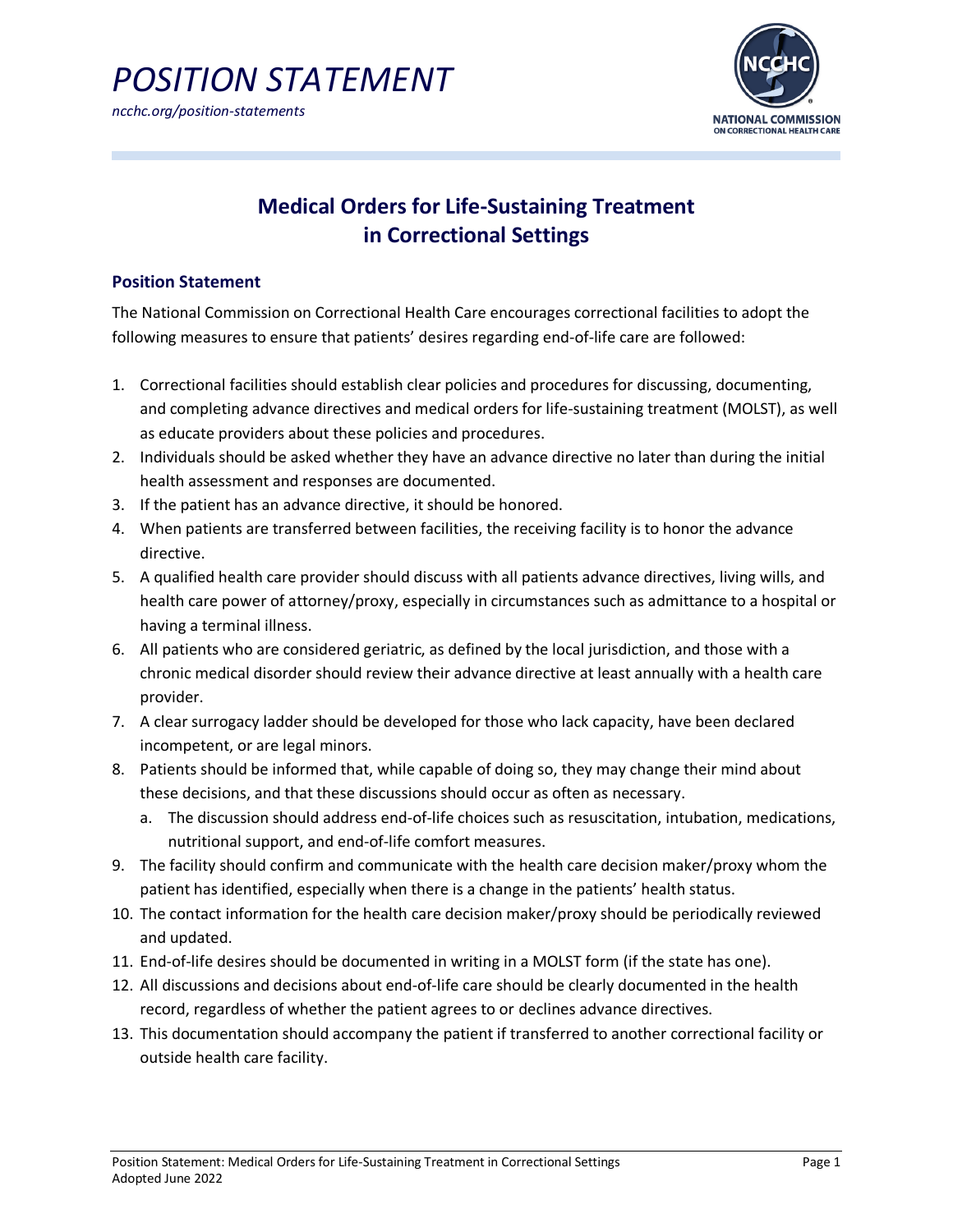

# **Medical Orders for Life-Sustaining Treatment in Correctional Settings**

# **Position Statement**

The National Commission on Correctional Health Care encourages correctional facilities to adopt the following measures to ensure that patients' desires regarding end-of-life care are followed:

- 1. Correctional facilities should establish clear policies and procedures for discussing, documenting, and completing advance directives and medical orders for life-sustaining treatment (MOLST), as well as educate providers about these policies and procedures.
- 2. Individuals should be asked whether they have an advance directive no later than during the initial health assessment and responses are documented.
- 3. If the patient has an advance directive, it should be honored.
- 4. When patients are transferred between facilities, the receiving facility is to honor the advance directive.
- 5. A qualified health care provider should discuss with all patients advance directives, living wills, and health care power of attorney/proxy, especially in circumstances such as admittance to a hospital or having a terminal illness.
- 6. All patients who are considered geriatric, as defined by the local jurisdiction, and those with a chronic medical disorder should review their advance directive at least annually with a health care provider.
- 7. A clear surrogacy ladder should be developed for those who lack capacity, have been declared incompetent, or are legal minors.
- 8. Patients should be informed that, while capable of doing so, they may change their mind about these decisions, and that these discussions should occur as often as necessary.
	- a. The discussion should address end-of-life choices such as resuscitation, intubation, medications, nutritional support, and end-of-life comfort measures.
- 9. The facility should confirm and communicate with the health care decision maker/proxy whom the patient has identified, especially when there is a change in the patients' health status.
- 10. The contact information for the health care decision maker/proxy should be periodically reviewed and updated.
- 11. End-of-life desires should be documented in writing in a MOLST form (if the state has one).
- 12. All discussions and decisions about end-of-life care should be clearly documented in the health record, regardless of whether the patient agrees to or declines advance directives.
- 13. This documentation should accompany the patient if transferred to another correctional facility or outside health care facility.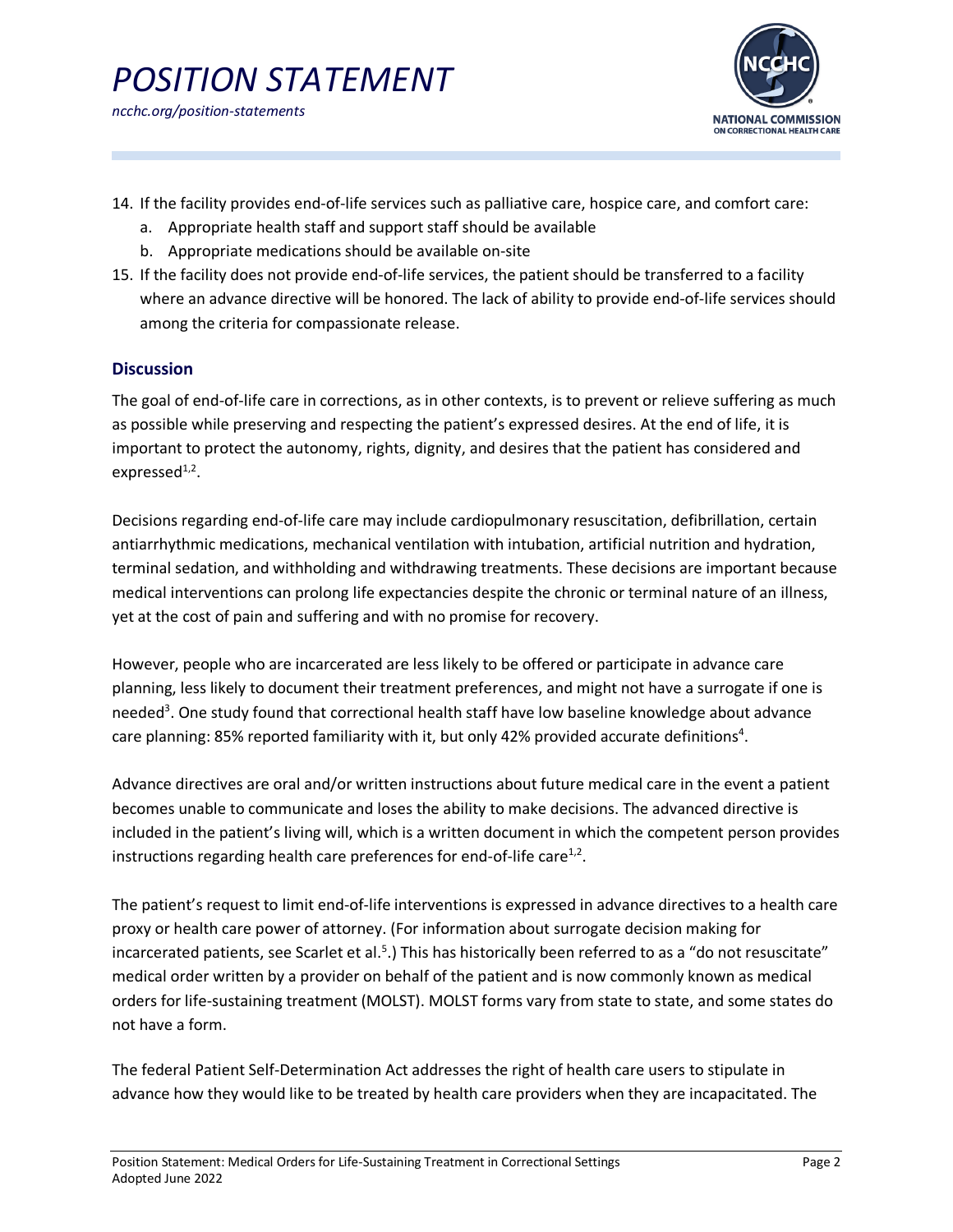

- 14. If the facility provides end-of-life services such as palliative care, hospice care, and comfort care:
	- a. Appropriate health staff and support staff should be available
	- b. Appropriate medications should be available on-site
- 15. If the facility does not provide end-of-life services, the patient should be transferred to a facility where an advance directive will be honored. The lack of ability to provide end-of-life services should among the criteria for compassionate release.

## **Discussion**

The goal of end-of-life care in corrections, as in other contexts, is to prevent or relieve suffering as much as possible while preserving and respecting the patient's expressed desires. At the end of life, it is important to protect the autonomy, rights, dignity, and desires that the patient has considered and expressed $^{1,2}$ .

Decisions regarding end-of-life care may include cardiopulmonary resuscitation, defibrillation, certain antiarrhythmic medications, mechanical ventilation with intubation, artificial nutrition and hydration, terminal sedation, and withholding and withdrawing treatments. These decisions are important because medical interventions can prolong life expectancies despite the chronic or terminal nature of an illness, yet at the cost of pain and suffering and with no promise for recovery.

However, people who are incarcerated are less likely to be offered or participate in advance care planning, less likely to document their treatment preferences, and might not have a surrogate if one is needed<sup>3</sup>. One study found that correctional health staff have low baseline knowledge about advance care planning: 85% reported familiarity with it, but only 42% provided accurate definitions<sup>4</sup>.

Advance directives are oral and/or written instructions about future medical care in the event a patient becomes unable to communicate and loses the ability to make decisions. The advanced directive is included in the patient's living will, which is a written document in which the competent person provides instructions regarding health care preferences for end-of-life care $1/2$ .

The patient's request to limit end-of-life interventions is expressed in advance directives to a health care proxy or health care power of attorney. (For information about surrogate decision making for incarcerated patients, see Scarlet et al.<sup>5</sup>.) This has historically been referred to as a "do not resuscitate" medical order written by a provider on behalf of the patient and is now commonly known as medical orders for life-sustaining treatment (MOLST). MOLST forms vary from state to state, and some states do not have a form.

The federal Patient Self-Determination Act addresses the right of health care users to stipulate in advance how they would like to be treated by health care providers when they are incapacitated. The